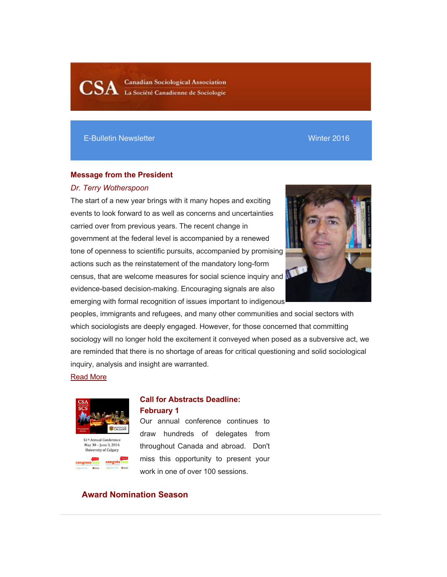**Canadian Sociological Association** La Société Canadienne de Sociologie

### E-Bulletin Newsletter Winter 2016

## **Message from the President**

#### *Dr. Terry Wotherspoon*

The start of a new year brings with it many hopes and exciting events to look forward to as well as concerns and uncertainties carried over from previous years. The recent change in government at the federal level is accompanied by a renewed tone of openness to scientific pursuits, accompanied by promising actions such as the reinstatement of the mandatory long-form census, that are welcome measures for social science inquiry and evidence-based decision-making. Encouraging signals are also emerging with formal recognition of issues important to indigenous



peoples, immigrants and refugees, and many other communities and social sectors with which sociologists are deeply engaged. However, for those concerned that committing sociology will no longer hold the excitement it conveyed when posed as a subversive act, we are reminded that there is no shortage of areas for critical questioning and solid sociological inquiry, analysis and insight are warranted.

### Read More



May 30 - June 3, 2016 University of Calgary



Our annual conference continues to draw hundreds of delegates from throughout Canada and abroad. Don't miss this opportunity to present your work in one of over 100 sessions.

# **Award Nomination Season**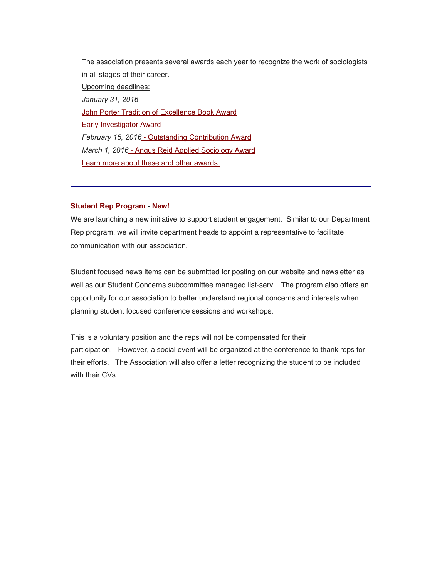The association presents several awards each year to recognize the work of sociologists in all stages of their career. Upcoming deadlines: *January 31, 2016* **John Porter Tradition of Excellence Book Award** Early Investigator Award *February 15, 2016* - Outstanding Contribution Award *March 1, 2016* - Angus Reid Applied Sociology Award Learn more about these and other awards.

### **Student Rep Program** - **New!**

We are launching a new initiative to support student engagement. Similar to our Department Rep program, we will invite department heads to appoint a representative to facilitate communication with our association.

Student focused news items can be submitted for posting on our website and newsletter as well as our Student Concerns subcommittee managed list-serv. The program also offers an opportunity for our association to better understand regional concerns and interests when planning student focused conference sessions and workshops.

This is a voluntary position and the reps will not be compensated for their participation. However, a social event will be organized at the conference to thank reps for their efforts. The Association will also offer a letter recognizing the student to be included with their CVs.